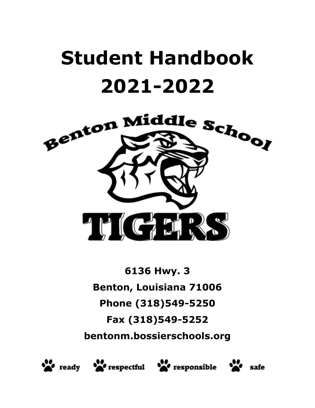# **Student Handbook 2021-2022**



**6136 Hwy. 3 Benton, Louisiana 71006 Phone (318)549-5250 Fax (318)549-5252 bentonm.bossierschools.org**







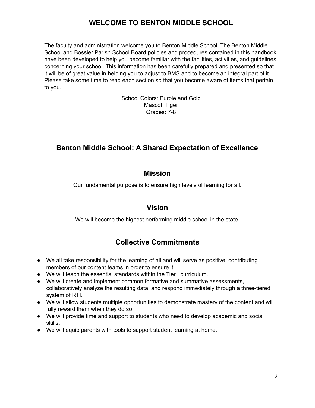## **WELCOME TO BENTON MIDDLE SCHOOL**

The faculty and administration welcome you to Benton Middle School. The Benton Middle School and Bossier Parish School Board policies and procedures contained in this handbook have been developed to help you become familiar with the facilities, activities, and guidelines concerning your school. This information has been carefully prepared and presented so that it will be of great value in helping you to adjust to BMS and to become an integral part of it. Please take some time to read each section so that you become aware of items that pertain to you.

> School Colors: Purple and Gold Mascot: Tiger Grades: 7-8

## **Benton Middle School: A Shared Expectation of Excellence**

## **Mission**

Our fundamental purpose is to ensure high levels of learning for all.

## **Vision**

We will become the highest performing middle school in the state.

# **Collective Commitments**

- We all take responsibility for the learning of all and will serve as positive, contributing members of our content teams in order to ensure it.
- We will teach the essential standards within the Tier I curriculum.
- We will create and implement common formative and summative assessments, collaboratively analyze the resulting data, and respond immediately through a three-tiered system of RTI.
- We will allow students multiple opportunities to demonstrate mastery of the content and will fully reward them when they do so.
- We will provide time and support to students who need to develop academic and social skills.
- We will equip parents with tools to support student learning at home.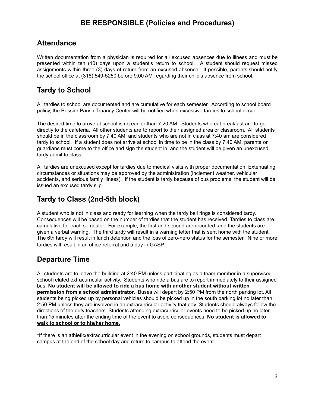# **BE RESPONSIBLE (Policies and Procedures)**

## **Attendance**

Written documentation from a physician is required for all excused absences due to illness and must be presented within ten (10) days upon a student's return to school. A student should request missed assignments within three (3) days of return from an excused absence. If possible, parents should notify the school office at (318) 549-5250 before 9:00 AM regarding their child's absence from school.

# **Tardy to School**

All tardies to school are documented and are cumulative for each semester. According to school board policy, the Bossier Parish Truancy Center will be notified when excessive tardies to school occur.

The desired time to arrive at school is no earlier than 7:20 AM. Students who eat breakfast are to go directly to the cafeteria. All other students are to report to their assigned area or classroom. All students should be in the classroom by 7:40 AM, and students who are not in class at 7:40 am are considered tardy to school. If a student does not arrive at school in time to be in the class by 7:40 AM, parents or guardians must come to the office and sign the student in, and the student will be given an unexcused tardy admit to class.

All tardies are unexcused except for tardies due to medical visits with proper documentation. Extenuating circumstances or situations may be approved by the administration (inclement weather, vehicular accidents, and serious family illness). If the student is tardy because of bus problems, the student will be issued an excused tardy slip.

# **Tardy to Class (2nd-5th block)**

A student who is not in class and ready for learning when the tardy bell rings is considered tardy. Consequences will be based on the number of tardies that the student has received. Tardies to class are cumulative for each semester. For example, the first and second are recorded, and the students are given a verbal warning. The third tardy will result in a warning letter that is sent home with the student. The 6th tardy will result in lunch detention and the loss of zero-hero status for the semester. Nine or more tardies will result in an office referral and a day in GASP.

## **Departure Time**

All students are to leave the building at 2:40 PM unless participating as a team member in a supervised school related extracurricular activity. Students who ride a bus are to report immediately to their assigned bus. **No student will be allowed to ride a bus home with another student without written permission from a school administrator.** Buses will depart by 2:50 PM from the north parking lot. All students being picked up by personal vehicles should be picked up in the south parking lot no later than 2:50 PM unless they are involved in an extracurricular activity that day. Students should always follow the directions of the duty teachers. Students attending extracurricular events need to be picked up no later than 15 minutes after the ending time of the event to avoid consequences. **No student is allowed to walk to school or to his/her home.**

\*If there is an athletic/extracurricular event in the evening on school grounds, students must depart campus at the end of the school day and return to campus to attend the event.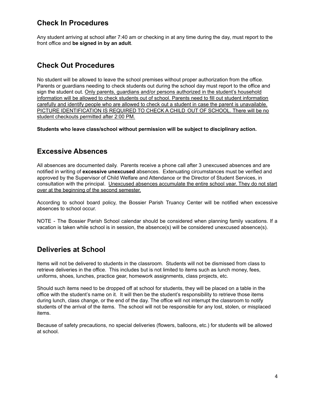## **Check In Procedures**

Any student arriving at school after 7:40 am or checking in at any time during the day, must report to the front office and **be signed in by an adult**.

## **Check Out Procedures**

No student will be allowed to leave the school premises without proper authorization from the office. Parents or guardians needing to check students out during the school day must report to the office and sign the student out. Only parents, guardians and/or persons authorized in the student's household information will be allowed to check students out of school. Parents need to fill out student information carefully and identify people who are allowed to check out a student in case the parent is unavailable. PICTURE IDENTIFICATION IS REQUIRED TO CHECK A CHILD OUT OF SCHOOL. There will be no student checkouts permitted after 2:00 PM.

**Students who leave class/school without permission will be subject to disciplinary action.**

## **Excessive Absences**

All absences are documented daily. Parents receive a phone call after 3 unexcused absences and are notified in writing of **excessive unexcused** absences. Extenuating circumstances must be verified and approved by the Supervisor of Child Welfare and Attendance or the Director of Student Services, in consultation with the principal. Unexcused absences accumulate the entire school year. They do not start over at the beginning of the second semester.

According to school board policy, the Bossier Parish Truancy Center will be notified when excessive absences to school occur.

NOTE - The Bossier Parish School calendar should be considered when planning family vacations. If a vacation is taken while school is in session, the absence(s) will be considered unexcused absence(s).

## **Deliveries at School**

Items will not be delivered to students in the classroom. Students will not be dismissed from class to retrieve deliveries in the office. This includes but is not limited to items such as lunch money, fees, uniforms, shoes, lunches, practice gear, homework assignments, class projects, etc.

Should such items need to be dropped off at school for students, they will be placed on a table in the office with the student's name on it. It will then be the student's responsibility to retrieve those items during lunch, class change, or the end of the day. The office will not interrupt the classroom to notify students of the arrival of the items. The school will not be responsible for any lost, stolen, or misplaced items.

Because of safety precautions, no special deliveries (flowers, balloons, etc.) for students will be allowed at school.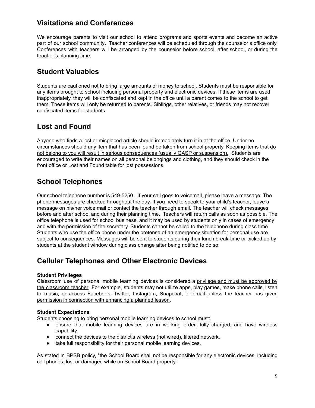## **Visitations and Conferences**

We encourage parents to visit our school to attend programs and sports events and become an active part of our school community**.** Teacher conferences will be scheduled through the counselor's office only. Conferences with teachers will be arranged by the counselor before school, after school, or during the teacher's planning time.

## **Student Valuables**

Students are cautioned not to bring large amounts of money to school. Students must be responsible for any items brought to school including personal property and electronic devices. If these items are used inappropriately, they will be confiscated and kept in the office until a parent comes to the school to get them. These items will only be returned to parents. Siblings, other relatives, or friends may not recover confiscated items for students.

## **Lost and Found**

Anyone who finds a lost or misplaced article should immediately turn it in at the office. Under no circumstances should any item that has been found be taken from school property. Keeping items that do not belong to you will result in serious consequences (usually GASP or suspension). Students are encouraged to write their names on all personal belongings and clothing, and they should check in the front office or Lost and Found table for lost possessions.

## **School Telephones**

Our school telephone number is 549-5250. If your call goes to voicemail, please leave a message. The phone messages are checked throughout the day. If you need to speak to your child's teacher, leave a message on his/her voice mail or contact the teacher through email. The teacher will check messages before and after school and during their planning time. Teachers will return calls as soon as possible. The office telephone is used for school business, and it may be used by students only in cases of emergency and with the permission of the secretary. Students cannot be called to the telephone during class time. Students who use the office phone under the pretense of an emergency situation for personal use are subject to consequences. Messages will be sent to students during their lunch break-time or picked up by students at the student window during class change after being notified to do so.

## **Cellular Telephones and Other Electronic Devices**

## **Student Privileges**

Classroom use of personal mobile learning devices is considered a privilege and must be approved by the classroom teacher. For example, students may not utilize apps, play games, make phone calls, listen to music, or access Facebook, Twitter, Instagram, Snapchat, or email unless the teacher has given permission in connection with enhancing a planned lesson.

## **Student Expectations**

Students choosing to bring personal mobile learning devices to school must:

- ensure that mobile learning devices are in working order, fully charged, and have wireless capability.
- connect the devices to the district's wireless (not wired), filtered network.
- take full responsibility for their personal mobile learning devices.

As stated in BPSB policy, "the School Board shall not be responsible for any electronic devices, including cell phones, lost or damaged while on School Board property."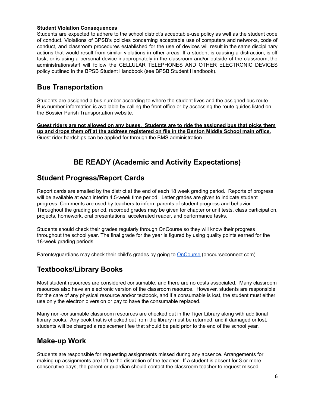#### **Student Violation Consequences**

Students are expected to adhere to the school district's acceptable-use policy as well as the student code of conduct. Violations of BPSB's policies concerning acceptable use of computers and networks, code of conduct, and classroom procedures established for the use of devices will result in the same disciplinary actions that would result from similar violations in other areas. If a student is causing a distraction, is off task, or is using a personal device inappropriately in the classroom and/or outside of the classroom, the administration/staff will follow the CELLULAR TELEPHONES AND OTHER ELECTRONIC DEVICES policy outlined in the BPSB Student Handbook (see BPSB Student Handbook).

## **Bus Transportation**

Students are assigned a bus number according to where the student lives and the assigned bus route. Bus number information is available by calling the front office or by accessing the route guides listed on the Bossier Parish Transportation website.

**Guest riders are not allowed on any buses. Students are to ride the assigned bus that picks them up and drops them off at the address registered on file in the Benton Middle School main office.** Guest rider hardships can be applied for through the BMS administration.

# **BE READY (Academic and Activity Expectations)**

## **Student Progress/Report Cards**

Report cards are emailed by the district at the end of each 18 week grading period. Reports of progress will be available at each interim 4.5-week time period. Letter grades are given to indicate student progress. Comments are used by teachers to inform parents of student progress and behavior. Throughout the grading period, recorded grades may be given for chapter or unit tests, class participation, projects, homework, oral presentations, accelerated reader, and performance tasks.

Students should check their grades regularly through OnCourse so they will know their progress throughout the school year. The final grade for the year is figured by using quality points earned for the 18-week grading periods.

Parents/guardians may check their child's grades by going to **[OnCourse](https://www.oncourseconnect.com/)** (oncourseconnect.com).

## **Textbooks/Library Books**

Most student resources are considered consumable, and there are no costs associated. Many classroom resources also have an electronic version of the classroom resource. However, students are responsible for the care of any physical resource and/or textbook, and if a consumable is lost, the student must either use only the electronic version or pay to have the consumable replaced.

Many non-consumable classroom resources are checked out in the Tiger Library along with additional library books. Any book that is checked out from the library must be returned, and if damaged or lost, students will be charged a replacement fee that should be paid prior to the end of the school year.

## **Make-up Work**

Students are responsible for requesting assignments missed during any absence. Arrangements for making up assignments are left to the discretion of the teacher. If a student is absent for 3 or more consecutive days, the parent or guardian should contact the classroom teacher to request missed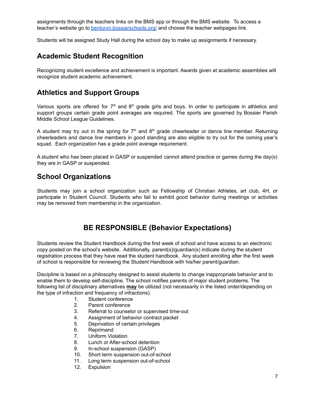assignments through the teachers links on the BMS app or through the BMS website. To access a teacher's website go to [bentonm.bossierschools.org/](https://bentonm.bossierschools.org/) and choose the teacher webpages link.

Students will be assigned Study Hall during the school day to make up assignments if necessary.

## **Academic Student Recognition**

Recognizing student excellence and achievement is important. Awards given at academic assemblies will recognize student academic achievement.

## **Athletics and Support Groups**

Various sports are offered for  $7<sup>th</sup>$  and  $8<sup>th</sup>$  grade girls and boys. In order to participate in athletics and support groups certain grade point averages are required. The sports are governed by Bossier Parish Middle School League Guidelines.

A student may try out in the spring for  $7<sup>th</sup>$  and  $8<sup>th</sup>$  grade cheerleader or dance line member. Returning cheerleaders and dance line members in good standing are also eligible to try out for the coming year's squad. Each organization has a grade point average requirement.

A student who has been placed in GASP or suspended cannot attend practice or games during the day(s) they are in GASP or suspended.

## **School Organizations**

Students may join a school organization such as Fellowship of Christian Athletes, art club, 4H, or participate in Student Council. Students who fail to exhibit good behavior during meetings or activities may be removed from membership in the organization.

## **BE RESPONSIBLE (Behavior Expectations)**

Students review the Student Handbook during the first week of school and have access to an electronic copy posted on the school's website. Additionally, parent(s)/guardian(s) indicate during the student registration process that they have read the student handbook. Any student enrolling after the first week of school is responsible for reviewing the Student Handbook with his/her parent/guardian.

Discipline is based on a philosophy designed to assist students to change inappropriate behavior and to enable them to develop self-discipline. The school notifies parents of major student problems. The following list of disciplinary alternatives **may** be utilized (not necessarily in the listed order/depending on the type of infraction and frequency of infractions).

- 1. Student conference
- 2. Parent conference
- 3. Referral to counselor or supervised time-out
- 4. Assignment of behavior contract packet
- 5. Deprivation of certain privileges
- 6. Reprimand
- 7. Uniform Violation
- 8. Lunch or After-school detention
- 9. In-school suspension (GASP)
- 10. Short term suspension out-of-school
- 11. Long term suspension out-of-school
- 12. Expulsion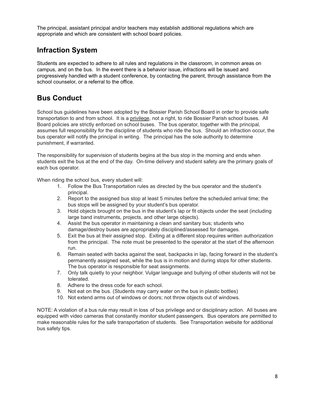The principal, assistant principal and/or teachers may establish additional regulations which are appropriate and which are consistent with school board policies.

## **Infraction System**

Students are expected to adhere to all rules and regulations in the classroom, in common areas on campus, and on the bus. In the event there is a behavior issue, infractions will be issued and progressively handled with a student conference, by contacting the parent, through assistance from the school counselor, or a referral to the office.

## **Bus Conduct**

School bus guidelines have been adopted by the Bossier Parish School Board in order to provide safe transportation to and from school. It is a privilege, not a right, to ride Bossier Parish school buses. All Board policies are strictly enforced on school buses. The bus operator, together with the principal, assumes full responsibility for the discipline of students who ride the bus. Should an infraction occur, the bus operator will notify the principal in writing. The principal has the sole authority to determine punishment, if warranted.

The responsibility for supervision of students begins at the bus stop in the morning and ends when students exit the bus at the end of the day. On-time delivery and student safety are the primary goals of each bus operator.

When riding the school bus, every student will:

- 1. Follow the Bus Transportation rules as directed by the bus operator and the student's principal.
- 2. Report to the assigned bus stop at least 5 minutes before the scheduled arrival time; the bus stops will be assigned by your student's bus operator.
- 3. Hold objects brought on the bus in the student's lap or fit objects under the seat (including large band instruments, projects, and other large objects).
- 4. Assist the bus operator in maintaining a clean and sanitary bus; students who damage/destroy buses are appropriately disciplined/assessed for damages.
- 5. Exit the bus at their assigned stop. Exiting at a different stop requires written authorization from the principal. The note must be presented to the operator at the start of the afternoon run.
- 6. Remain seated with backs against the seat, backpacks in lap, facing forward in the student's permanently assigned seat, while the bus is in motion and during stops for other students. The bus operator is responsible for seat assignments.
- 7. Only talk quietly to your neighbor. Vulgar language and bullying of other students will not be tolerated.
- 8. Adhere to the dress code for each school.
- 9. Not eat on the bus. (Students may carry water on the bus in plastic bottles)
- 10. Not extend arms out of windows or doors; not throw objects out of windows.

NOTE: A violation of a bus rule may result in loss of bus privilege and or disciplinary action. All buses are equipped with video cameras that constantly monitor student passengers. Bus operators are permitted to make reasonable rules for the safe transportation of students. See Transportation website for additional bus safety tips.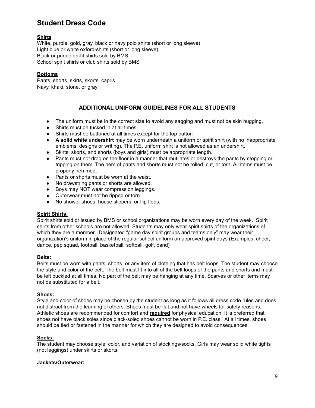## **Student Dress Code**

## **Shirts**

White, purple, gold, gray, black or navy polo shirts (short or long sleeve) Light blue or white oxford-shirts (short or long sleeve) Black or purple dri**-**fit shirts sold by BMS School spirit shirts or club shirts sold by BMS

## **Bottoms**

Pants, shorts, skirts, skorts, capris Navy, khaki, stone, or gray

## **ADDITIONAL UNIFORM GUIDELINES FOR ALL STUDENTS**

- The uniform must be in the correct size to avoid any sagging and must not be skin hugging.
- Shirts must be tucked in at all times
- Shirts must be buttoned at all times except for the top button
- **A solid white undershirt** may be worn underneath a uniform or spirit shirt (with no inappropriate emblems, designs or writing). The P.E. uniform shirt is not allowed as an undershirt.
- Skirts, skorts, and shorts (boys and girls) must be appropriate length.
- Pants must not drag on the floor in a manner that mutilates or destroys the pants by stepping or tripping on them. The hem of pants and shorts must not be rolled, cut, or torn. All items must be properly hemmed.
- Pants or shorts must be worn at the waist.
- No drawstring pants or shorts are allowed.
- Boys may NOT wear compression leggings.
- Outerwear must not be ripped or torn.
- No shower shoes, house slippers, or flip flops.

#### **Spirit Shirts:**

Spirit shirts sold or issued by BMS or school organizations may be worn every day of the week. Spirit shirts from other schools are not allowed. Students may only wear spirit shirts of the organizations of which they are a member. Designated "game day spirit groups and teams only" may wear their organization's uniform in place of the regular school uniform on approved spirit days (Examples: cheer, dance, pep squad, football, basketball, softball, golf, band)

#### **Belts:**

Belts must be worn with pants, shorts, or any item of clothing that has belt loops. The student may choose the style and color of the belt. The belt must fit into all of the belt loops of the pants and shorts and must be left buckled at all times. No part of the belt may be hanging at any time. Scarves or other items may not be substituted for a belt.

#### **Shoes:**

Style and color of shoes may be chosen by the student as long as it follows all dress code rules and does not distract from the learning of others. Shoes must be flat and not have wheels for safety reasons. Athletic shoes are recommended for comfort and **required** for physical education. It is preferred that shoes not have black soles since black-soled shoes cannot be worn in P.E. class. At all times, shoes should be tied or fastened in the manner for which they are designed to avoid consequences.

#### **Socks:**

The student may choose style, color, and variation of stockings/socks. Girls may wear solid white tights (not leggings) under skirts or skorts.

#### **Jackets/Outerwear:**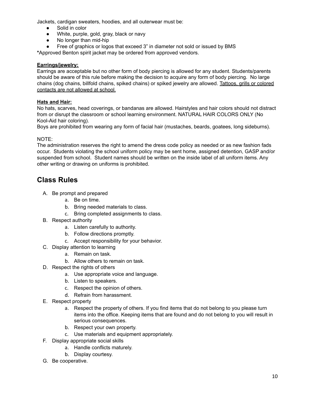Jackets, cardigan sweaters, hoodies, and all outerwear must be:

- Solid in color
- White, purple, gold, gray, black or navy
- No longer than mid-hip
- Free of graphics or logos that exceed 3" in diameter not sold or issued by BMS

**\***Approved Benton spirit jacket may be ordered from approved vendors.

## **Earrings/jewelry:**

Earrings are acceptable but no other form of body piercing is allowed for any student. Students/parents should be aware of this rule before making the decision to acquire any form of body piercing. No large chains (dog chains, billfold chains, spiked chains) or spiked jewelry are allowed. Tattoos, grills or colored contacts are not allowed at school.

## **Hats and Hair:**

No hats, scarves, head coverings, or bandanas are allowed. Hairstyles and hair colors should not distract from or disrupt the classroom or school learning environment. NATURAL HAIR COLORS ONLY (No Kool-Aid hair coloring).

Boys are prohibited from wearing any form of facial hair (mustaches, beards, goatees, long sideburns).

## NOTE:

The administration reserves the right to amend the dress code policy as needed or as new fashion fads occur. Students violating the school uniform policy may be sent home, assigned detention, GASP and/or suspended from school. Student names should be written on the inside label of all uniform items. Any other writing or drawing on uniforms is prohibited.

## **Class Rules**

- A. Be prompt and prepared
	- a. Be on time.
	- b. Bring needed materials to class.
	- c. Bring completed assignments to class.
- B. Respect authority
	- a. Listen carefully to authority.
	- b. Follow directions promptly.
	- c. Accept responsibility for your behavior.
- C. Display attention to learning
	- a. Remain on task.
	- b. Allow others to remain on task.
- D. Respect the rights of others
	- a. Use appropriate voice and language.
	- b. Listen to speakers.
	- c. Respect the opinion of others.
	- d. Refrain from harassment.
- E. Respect property
	- a. Respect the property of others. If you find items that do not belong to you please turn items into the office. Keeping items that are found and do not belong to you will result in serious consequences.
	- b. Respect your own property.
	- c. Use materials and equipment appropriately.
- F. Display appropriate social skills
	- a. Handle conflicts maturely.
	- b. Display courtesy.
- G. Be cooperative.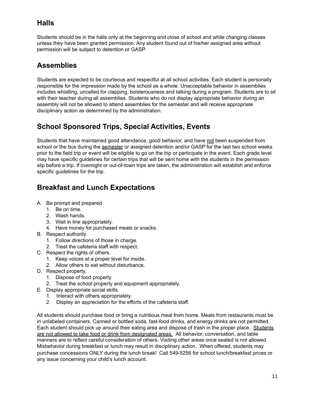# **Halls**

Students should be in the halls only at the beginning and close of school and while changing classes unless they have been granted permission. Any student found out of his/her assigned area without permission will be subject to detention or GASP.

# **Assemblies**

Students are expected to be courteous and respectful at all school activities. Each student is personally responsible for the impression made by the school as a whole. Unacceptable behavior in assemblies includes whistling, uncalled for clapping, boisterousness and talking during a program. Students are to sit with their teacher during all assemblies. Students who do not display appropriate behavior during an assembly will not be allowed to attend assemblies for the semester and will receive appropriate disciplinary action as determined by the administration.

# **School Sponsored Trips, Special Activities, Events**

Students that have maintained good attendance, good behavior, and have not been suspended from school or the bus during the semester or assigned detention and/or GASP for the last two school weeks prior to the field trip or event will be eligible to go on the trip or participate in the event. Each grade level may have specific guidelines for certain trips that will be sent home with the students in the permission slip before a trip. If overnight or out-of-town trips are taken, the administration will establish and enforce specific guidelines for the trip.

# **Breakfast and Lunch Expectations**

- A. Be prompt and prepared
	- 1. Be on time.
	- 2. Wash hands.
	- 3. Wait in line appropriately.
	- 4. Have money for purchased meals or snacks.
- B. Respect authority
	- 1. Follow directions of those in charge.
	- 2. Treat the cafeteria staff with respect.
- C. Respect the rights of others.
	- 1. Keep voices at a proper level for inside.
	- 2. Allow others to eat without disturbance.
- D. Respect property.
	- 1. Dispose of food properly.
	- 2. Treat the school property and equipment appropriately.
- E. Display appropriate social skills.
	- 1. Interact with others appropriately.
	- 2. Display an appreciation for the efforts of the cafeteria staff.

All students should purchase food or bring a nutritious meal from home. Meals from restaurants must be in unlabeled containers. Canned or bottled soda, fast-food drinks, and energy drinks are not permitted. Each student should pick up around their eating area and dispose of trash in the proper place. Students are not allowed to take food or drink from designated areas. All behavior, conversation, and table manners are to reflect careful consideration of others. Visiting other areas once seated is not allowed. Misbehavior during breakfast or lunch may result in disciplinary action. When offered, students may purchase concessions ONLY during the lunch break! Call 549-5256 for school lunch/breakfast prices or any issue concerning your child's lunch account.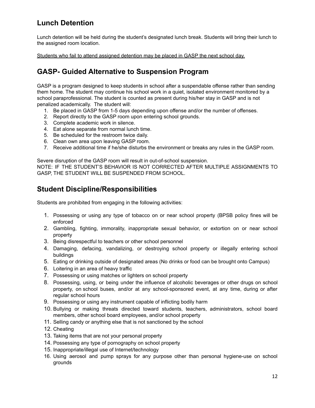# **Lunch Detention**

Lunch detention will be held during the student's designated lunch break. Students will bring their lunch to the assigned room location.

Students who fail to attend assigned detention may be placed in GASP the next school day.

## **GASP- Guided Alternative to Suspension Program**

GASP is a program designed to keep students in school after a suspendable offense rather than sending them home. The student may continue his school work in a quiet, isolated environment monitored by a school paraprofessional. The student is counted as present during his/her stay in GASP and is not penalized academically. The student will:

- 1. Be placed in GASP from 1-5 days depending upon offense and/or the number of offenses.
- 2. Report directly to the GASP room upon entering school grounds.
- 3. Complete academic work in silence.
- 4. Eat alone separate from normal lunch time.
- 5. Be scheduled for the restroom twice daily.
- 6. Clean own area upon leaving GASP room.
- 7. Receive additional time if he/she disturbs the environment or breaks any rules in the GASP room.

Severe disruption of the GASP room will result in out-of-school suspension.

NOTE: IF THE STUDENT'S BEHAVIOR IS NOT CORRECTED AFTER MULTIPLE ASSIGNMENTS TO GASP, THE STUDENT WILL BE SUSPENDED FROM SCHOOL.

## **Student Discipline/Responsibilities**

Students are prohibited from engaging in the following activities:

- 1. Possessing or using any type of tobacco on or near school property (BPSB policy fines will be enforced
- 2. Gambling, fighting, immorality, inappropriate sexual behavior, or extortion on or near school property
- 3. Being disrespectful to teachers or other school personnel
- 4. Damaging, defacing, vandalizing, or destroying school property or illegally entering school buildings
- 5. Eating or drinking outside of designated areas (No drinks or food can be brought onto Campus)
- 6. Loitering in an area of heavy traffic
- 7. Possessing or using matches or lighters on school property
- 8. Possessing, using, or being under the influence of alcoholic beverages or other drugs on school property, on school buses, and/or at any school-sponsored event, at any time, during or after regular school hours
- 9. Possessing or using any instrument capable of inflicting bodily harm
- 10. Bullying or making threats directed toward students, teachers, administrators, school board members, other school board employees, and/or school property
- 11. Selling candy or anything else that is not sanctioned by the school
- 12. Cheating
- 13. Taking items that are not your personal property
- 14. Possessing any type of pornography on school property
- 15. Inappropriate/illegal use of Internet/technology
- 16. Using aerosol and pump sprays for any purpose other than personal hygiene-use on school grounds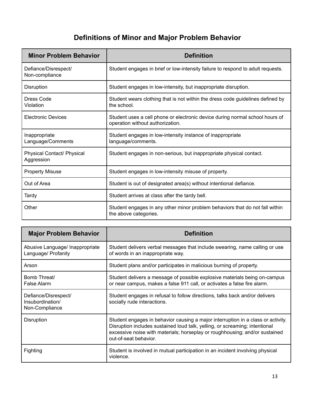# **Definitions of Minor and Major Problem Behavior**

| <b>Minor Problem Behavior</b>                   | <b>Definition</b>                                                                                                |
|-------------------------------------------------|------------------------------------------------------------------------------------------------------------------|
| Defiance/Disrespect/<br>Non-compliance          | Student engages in brief or low-intensity failure to respond to adult requests.                                  |
| Disruption                                      | Student engages in low-intensity, but inappropriate disruption.                                                  |
| Dress Code<br>Violation                         | Student wears clothing that is not within the dress code guidelines defined by<br>the school.                    |
| <b>Electronic Devices</b>                       | Student uses a cell phone or electronic device during normal school hours of<br>operation without authorization. |
| Inappropriate<br>Language/Comments              | Student engages in low-intensity instance of inappropriate<br>language/comments.                                 |
| <b>Physical Contact/ Physical</b><br>Aggression | Student engages in non-serious, but inappropriate physical contact.                                              |
| <b>Property Misuse</b>                          | Student engages in low-intensity misuse of property.                                                             |
| Out of Area                                     | Student is out of designated area(s) without intentional defiance.                                               |
| Tardy                                           | Student arrives at class after the tardy bell.                                                                   |
| Other                                           | Student engages in any other minor problem behaviors that do not fall within<br>the above categories.            |

| <b>Major Problem Behavior</b>                              | <b>Definition</b>                                                                                                                                                                                                                                                       |
|------------------------------------------------------------|-------------------------------------------------------------------------------------------------------------------------------------------------------------------------------------------------------------------------------------------------------------------------|
| Abusive Language/ Inappropriate<br>Language/ Profanity     | Student delivers verbal messages that include swearing, name calling or use<br>of words in an inappropriate way.                                                                                                                                                        |
| Arson                                                      | Student plans and/or participates in malicious burning of property.                                                                                                                                                                                                     |
| Bomb Threat/<br><b>False Alarm</b>                         | Student delivers a message of possible explosive materials being on-campus<br>or near campus, makes a false 911 call, or activates a false fire alarm.                                                                                                                  |
| Defiance/Disrespect/<br>Insubordination/<br>Non-Compliance | Student engages in refusal to follow directions, talks back and/or delivers<br>socially rude interactions.                                                                                                                                                              |
| Disruption                                                 | Student engages in behavior causing a major interruption in a class or activity.<br>Disruption includes sustained loud talk, yelling, or screaming; intentional<br>excessive noise with materials; horseplay or roughhousing; and/or sustained<br>out-of-seat behavior. |
| Fighting                                                   | Student is involved in mutual participation in an incident involving physical<br>violence.                                                                                                                                                                              |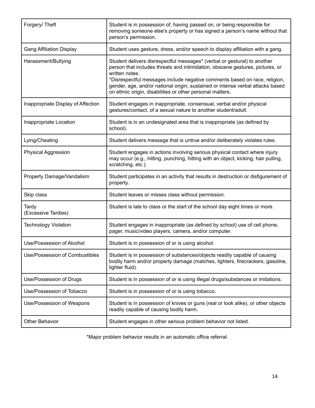| Forgery/Theft                      | Student is in possession of, having passed on, or being responsible for<br>removing someone else's property or has signed a person's name without that<br>person's permission.                                                                                                                                                                                                                           |
|------------------------------------|----------------------------------------------------------------------------------------------------------------------------------------------------------------------------------------------------------------------------------------------------------------------------------------------------------------------------------------------------------------------------------------------------------|
| <b>Gang Affiliation Display</b>    | Student uses gesture, dress, and/or speech to display affiliation with a gang.                                                                                                                                                                                                                                                                                                                           |
| Harassment/Bullying                | Student delivers disrespectful messages* (verbal or gestural) to another<br>person that includes threats and intimidation, obscene gestures, pictures, or<br>written notes.<br>*Disrespectful messages include negative comments based on race, religion,<br>gender, age, and/or national origin; sustained or intense verbal attacks based<br>on ethnic origin, disabilities or other personal matters. |
| Inappropriate Display of Affection | Student engages in inappropriate, consensual, verbal and/or physical<br>gestures/contact, of a sexual nature to another student/adult.                                                                                                                                                                                                                                                                   |
| Inappropriate Location             | Student is in an undesignated area that is inappropriate (as defined by<br>school).                                                                                                                                                                                                                                                                                                                      |
| Lying/Cheating                     | Student delivers message that is untrue and/or deliberately violates rules.                                                                                                                                                                                                                                                                                                                              |
| <b>Physical Aggression</b>         | Student engages in actions involving serious physical contact where injury<br>may occur (e.g., hitting, punching, hitting with an object, kicking, hair pulling,<br>scratching, etc.).                                                                                                                                                                                                                   |
| Property Damage/Vandalism          | Student participates in an activity that results in destruction or disfigurement of<br>property.                                                                                                                                                                                                                                                                                                         |
| Skip class                         | Student leaves or misses class without permission.                                                                                                                                                                                                                                                                                                                                                       |
| Tardy<br>(Excessive Tardies)       | Student is late to class or the start of the school day eight times or more.                                                                                                                                                                                                                                                                                                                             |
| <b>Technology Violation</b>        | Student engages in inappropriate (as defined by school) use of cell phone,<br>pager, music/video players, camera, and/or computer.                                                                                                                                                                                                                                                                       |
| Use/Possession of Alcohol          | Student is in possession of or is using alcohol.                                                                                                                                                                                                                                                                                                                                                         |
| Use/Possession of Combustibles     | Student is in possession of substances/objects readily capable of causing<br>bodily harm and/or property damage (matches, lighters, firecrackers, gasoline,<br>lighter fluid).                                                                                                                                                                                                                           |
| Use/Possession of Drugs            | Student is in possession of or is using illegal drugs/substances or imitations.                                                                                                                                                                                                                                                                                                                          |
| Use/Possession of Tobacco          | Student is in possession of or is using tobacco.                                                                                                                                                                                                                                                                                                                                                         |
| Use/Possession of Weapons          | Student is in possession of knives or guns (real or look alike), or other objects<br>readily capable of causing bodily harm.                                                                                                                                                                                                                                                                             |
| <b>Other Behavior</b>              | Student engages in other serious problem behavior not listed.                                                                                                                                                                                                                                                                                                                                            |

\*Major problem behavior results in an automatic office referral.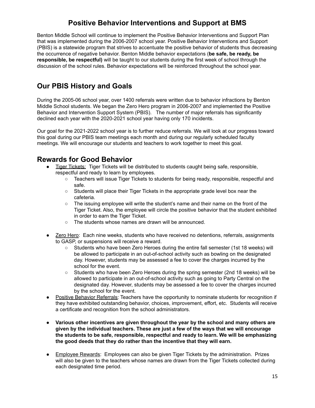## **Positive Behavior Interventions and Support at BMS**

Benton Middle School will continue to implement the Positive Behavior Interventions and Support Plan that was implemented during the 2006-2007 school year. Positive Behavior Interventions and Support (PBIS) is a statewide program that strives to accentuate the positive behavior of students thus decreasing the occurrence of negative behavior. Benton Middle behavior expectations (**be safe, be ready, be responsible, be respectful)** will be taught to our students during the first week of school through the discussion of the school rules. Behavior expectations will be reinforced throughout the school year.

## **Our PBIS History and Goals**

During the 2005-06 school year, over 1400 referrals were written due to behavior infractions by Benton Middle School students. We began the Zero Hero program in 2006-2007 and implemented the Positive Behavior and Intervention Support System (PBIS). The number of major referrals has significantly declined each year with the 2020-2021 school year having only 170 incidents.

Our goal for the 2021-2022 school year is to further reduce referrals. We will look at our progress toward this goal during our PBIS team meetings each month and during our regularly scheduled faculty meetings. We will encourage our students and teachers to work together to meet this goal.

## **Rewards for Good Behavior**

- Tiger Tickets: Tiger Tickets will be distributed to students caught being safe, responsible, respectful and ready to learn by employees.
	- Teachers will issue Tiger Tickets to students for being ready, responsible, respectful and safe.
	- Students will place their Tiger Tickets in the appropriate grade level box near the cafeteria.
	- The issuing employee will write the student's name and their name on the front of the Tiger Ticket. Also, the employee will circle the positive behavior that the student exhibited in order to earn the Tiger Ticket.
	- The students whose names are drawn will be announced.
- Zero Hero: Each nine weeks, students who have received no detentions, referrals, assignments to GASP, or suspensions will receive a reward.
	- Students who have been Zero Heroes during the entire fall semester (1st 18 weeks) will be allowed to participate in an out-of-school activity such as bowling on the designated day. However, students may be assessed a fee to cover the charges incurred by the school for the event.
	- Students who have been Zero Heroes during the spring semester (2nd 18 weeks) will be allowed to participate in an out-of-school activity such as going to Party Central on the designated day. However, students may be assessed a fee to cover the charges incurred by the school for the event.
- Positive Behavior Referrals: Teachers have the opportunity to nominate students for recognition if they have exhibited outstanding behavior, choices, improvement, effort, etc. Students will receive a certificate and recognition from the school administrators.
- **● Various other incentives are given throughout the year by the school and many others are given by the individual teachers. These are just a few of the ways that we will encourage the students to be safe, responsible, respectful and ready to learn. We will be emphasizing the good deeds that they do rather than the incentive that they will earn.**
- **•** Employee Rewards: Employees can also be given Tiger Tickets by the administration. Prizes will also be given to the teachers whose names are drawn from the Tiger Tickets collected during each designated time period.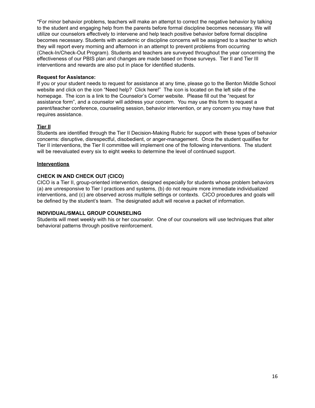\*For minor behavior problems, teachers will make an attempt to correct the negative behavior by talking to the student and engaging help from the parents before formal discipline becomes necessary. We will utilize our counselors effectively to intervene and help teach positive behavior before formal discipline becomes necessary. Students with academic or discipline concerns will be assigned to a teacher to which they will report every morning and afternoon in an attempt to prevent problems from occurring (Check-In/Check-Out Program). Students and teachers are surveyed throughout the year concerning the effectiveness of our PBIS plan and changes are made based on those surveys. Tier II and Tier III interventions and rewards are also put in place for identified students.

## **Request for Assistance:**

If you or your student needs to request for assistance at any time, please go to the Benton Middle School website and click on the icon "Need help? Click here!" The icon is located on the left side of the homepage. The icon is a link to the Counselor's Corner website. Please fill out the "request for assistance form", and a counselor will address your concern. You may use this form to request a parent/teacher conference, counseling session, behavior intervention, or any concern you may have that requires assistance.

## **Tier II**

Students are identified through the Tier II Decision-Making Rubric for support with these types of behavior concerns: disruptive, disrespectful, disobedient, or anger-management. Once the student qualifies for Tier II interventions, the Tier II committee will implement one of the following interventions. The student will be reevaluated every six to eight weeks to determine the level of continued support.

#### **Interventions**

## **CHECK IN AND CHECK OUT (CICO)**

CICO is a Tier II, group-oriented intervention, designed especially for students whose problem behaviors (a) are unresponsive to Tier I practices and systems, (b) do not require more immediate individualized interventions, and (c) are observed across multiple settings or contexts. CICO procedures and goals will be defined by the student's team. The designated adult will receive a packet of information.

## **INDIVIDUAL/SMALL GROUP COUNSELING**

Students will meet weekly with his or her counselor. One of our counselors will use techniques that alter behavioral patterns through positive reinforcement.